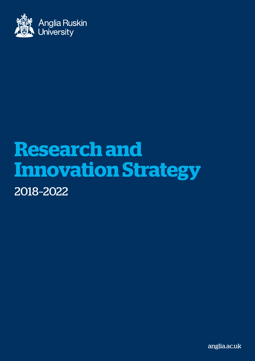

# **Research and Innovation Strategy** 2018–2022

anglia.ac.uk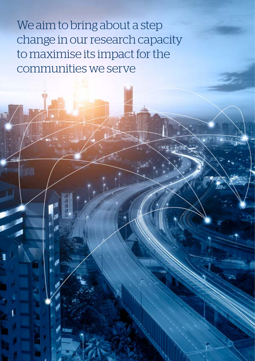We aim to bring about a step change in our research capacity to maximise its impact for the communities we serve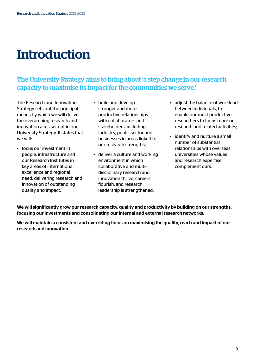# **Introduction**

### The University Strategy aims to bring about 'a step change in our research capacity to maximise its impact for the communities we serve.'

The Research and Innovation Strategy sets out the principal means by which we will deliver the overarching research and innovation aims set out in our University Strategy. It states that we will:

- focus our investment in people, infrastructure and our Research Institutes in key areas of international excellence and regional need, delivering research and innovation of outstanding quality and impact;
- build and develop stronger and more productive relationships with collaborators and stakeholders, including industry, public sector and businesses in areas linked to our research strengths;
- deliver a culture and working environment in which collaborative and multidisciplinary research and innovation thrive, careers flourish, and research leadership is strengthened;
- adjust the balance of workload between individuals, to enable our most productive researchers to focus more on research and related activities;
- identify and nurture a small number of substantial relationships with overseas universities whose values and research expertise complement ours.

We will significantly grow our research capacity, quality and productivity by building on our strengths, focusing our investments and consolidating our internal and external research networks.

We will maintain a consistent and overriding focus on maximising the quality, reach and impact of our research and innovation.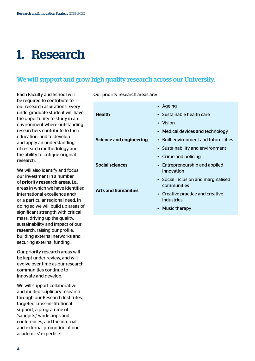### 1. Research

### We will support and grow high quality research across our University.

Each Faculty and School will be required to contribute to our research aspirations. Every undergraduate student will have the opportunity to study in an environment where outstanding researchers contribute to their education, and to develop and apply an understanding of research methodology and the ability to critique original research.

We will also identify and focus our investment in a number of priority research areas, i.e., areas in which we have identified international excellence and/ or a particular regional need. In doing so we will build up areas of significant strength with critical mass, driving up the quality, sustainability and impact of our research, raising our profile, building external networks and securing external funding.

Our priority research areas will be kept under review, and will evolve over time as our research communities continue to innovate and develop.

We will support collaborative and multi-disciplinary research through our Research Institutes, targeted cross-institutional support, a programme of 'sandpits,' workshops and conferences, and the internal and external promotion of our academics' expertise.

Our priority research areas are:

| <b>Health</b>                  | • Ageing                                                  |
|--------------------------------|-----------------------------------------------------------|
|                                | • Sustainable health care                                 |
|                                | <b>Vision</b><br>$\bullet$                                |
| <b>Science and engineering</b> | Medical devices and technology                            |
|                                | Built environment and future cities<br>$\bullet$          |
|                                | • Sustainability and environment                          |
|                                | • Crime and policing                                      |
| <b>Social sciences</b>         | Entrepreneurship and applied<br>$\bullet$<br>innovation   |
| <b>Arts and humanities</b>     | • Social inclusion and marginalised<br>communities        |
|                                | Creative practice and creative<br>$\bullet$<br>industries |
|                                | Music therapy                                             |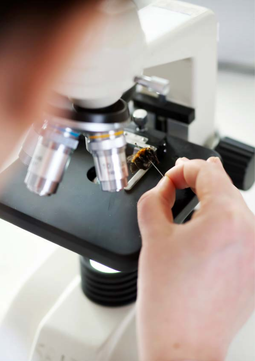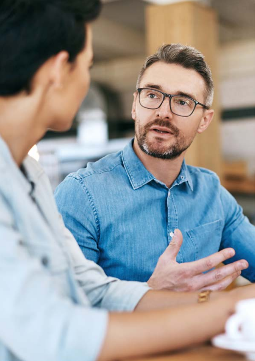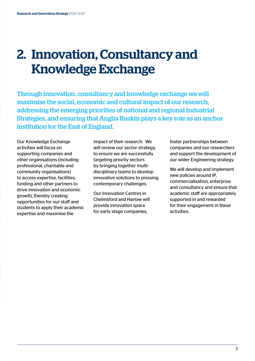## 2. Innovation, Consultancy and Knowledge Exchange

Through innovation, consultancy and knowledge exchange we will maximise the social, economic and cultural impact of our research, addressing the emerging priorities of national and regional Industrial Strategies, and ensuring that Anglia Ruskin plays a key role as an anchor institution for the East of England.

Our Knowledge Exchange activities will focus on supporting companies and other organisations (including professional, charitable and community organisations) to access expertise, facilities, funding and other partners to drive innovation and economic growth, thereby creating opportunities for our staff and students to apply their academic expertise and maximise the

impact of their research. We will review our sector strategy, to ensure we are successfully targeting priority sectors by bringing together multidisciplinary teams to develop innovative solutions to pressing contemporary challenges.

Our Innovation Centres in Chelmsford and Harlow will provide innovation space for early stage companies,

foster partnerships between companies and our researchers and support the development of our wider Engineering strategy.

We will develop and implement new policies around IP, commercialisation, enterprise and consultancy and ensure that academic staff are appropriately supported in and rewarded for their engagement in these activities.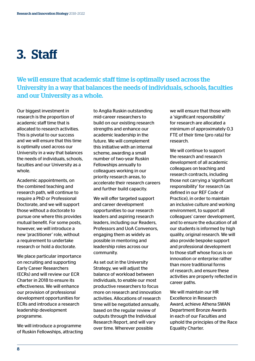### 3. Staff

We will ensure that academic staff time is optimally used across the University in a way that balances the needs of individuals, schools, faculties and our University as a whole.

Our biggest investment in research is the proportion of academic staff time that is allocated to research activities. This is pivotal to our success and we will ensure that this time is optimally used across our University in a way that balances the needs of individuals, schools, faculties and our University as a whole.

Academic appointments, on the combined teaching and research path, will continue to require a PhD or Professional Doctorate, and we will support those without a doctorate to pursue one where this provides mutual benefit. For some posts, however, we will introduce a new 'practitioner' role, without a requirement to undertake research or hold a doctorate.

We place particular importance on recruiting and supporting Early Career Researchers (ECRs) and will review our ECR Charter in 2018 to ensure its effectiveness. We will enhance our provision of professional development opportunities for ECRs and introduce a research leadership development programme.

We will introduce a programme of Ruskin Fellowships, attracting to Anglia Ruskin outstanding mid-career researchers to build on our existing research strengths and enhance our academic leadership in the future. We will complement this initiative with an internal scheme, awarding a small number of two-year Ruskin Fellowships annually to colleagues working in our priority research areas, to accelerate their research careers and further build capacity.

We will offer targeted support and career development opportunities to our research leaders and aspiring research leaders, including our Readers, Professors and UoA Convenors, engaging them as widely as possible in mentoring and leadership roles across our community.

As set out in the University Strategy, we will adjust the balance of workload between individuals, to enable our most productive researchers to focus more on research and innovation activities. Allocations of research time will be negotiated annually, based on the regular review of outputs through the Individual Research Report, and will vary over time. Wherever possible

we will ensure that those with a 'significant responsibility' for research are allocated a minimum of approximately 0.3 FTE of their time (pro rata) for research.

We will continue to support the research and research development of all academic colleagues on teaching and research contracts, including those not carrying a 'significant responsibility' for research (as defined in our REF Code of Practice), in order to maintain an inclusive culture and working environment, to support all colleagues' career development, and to ensure the education of all our students is informed by high quality, original research. We will also provide bespoke support and professional development to those staff whose focus is on innovation or enterprise rather than more traditional forms of research, and ensure these activities are properly reflected in career paths.

We will maintain our HR Excellence in Research Award, achieve Athena SWAN Department Bronze Awards in each of our Faculties and uphold the principles of the Race Equality Charter.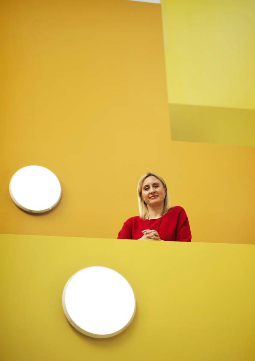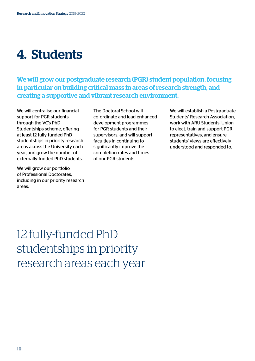### 4. Students

We will grow our postgraduate research (PGR) student population, focusing in particular on building critical mass in areas of research strength, and creating a supportive and vibrant research environment.

We will centralise our financial support for PGR students through the VC's PhD Studentships scheme, offering at least 12 fully-funded PhD studentships in priority research areas across the University each year, and grow the number of externally-funded PhD students.

We will grow our portfolio of Professional Doctorates, including in our priority research areas.

The Doctoral School will co-ordinate and lead enhanced development programmes for PGR students and their supervisors, and will support faculties in continuing to significantly improve the completion rates and times of our PGR students.

We will establish a Postgraduate Students' Research Association, work with ARU Students' Union to elect, train and support PGR representatives, and ensure students' views are effectively understood and responded to.

12 fully-funded PhD studentships in priority research areas each year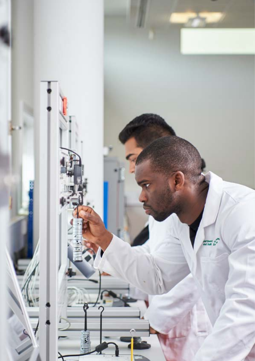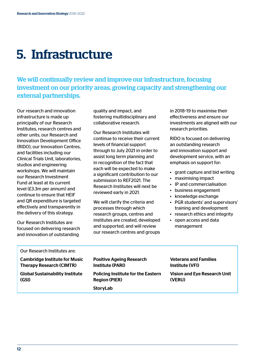# 5. Infrastructure

We will continually review and improve our infrastructure, focusing investment on our priority areas, growing capacity and strengthening our external partnerships.

Our research and innovation infrastructure is made up principally of our Research Institutes, research centres and other units, our Research and Innovation Development Office (RIDO), our Innovation Centres, and facilities including our Clinical Trials Unit, laboratories, studios and engineering workshops. We will maintain our Research Investment Fund at least at its current level (£3.3m per annum) and continue to ensure that HEIF and QR expenditure is targeted effectively and transparently in the delivery of this strategy.

Our Research Institutes are focused on delivering research and innovation of outstanding

quality and impact, and fostering multidisciplinary and collaborative research.

Our Research Institutes will continue to receive their current levels of financial support through to July 2021 in order to assist long term planning and in recognition of the fact that each will be expected to make a significant contribution to our submission to REF2021. The Research Institutes will next be reviewed early in 2021.

We will clarify the criteria and processes through which research groups, centres and institutes are created, developed and supported, and will review our research centres and groups

in 2018–19 to maximise their effectiveness and ensure our investments are aligned with our research priorities.

RIDO is focused on delivering an outstanding research and innovation support and development service, with an emphasis on support for:

- grant capture and bid writing
- maximising impact
- IP and commercialisation
- business engagement
- knowledge exchange
- PGR students' and supervisors' training and development
- research ethics and integrity
- open access and data management

| Our Research Institutes are:           |                                           |                                     |
|----------------------------------------|-------------------------------------------|-------------------------------------|
| <b>Cambridge Institute for Music</b>   | <b>Positive Ageing Research</b>           | <b>Veterans and Families</b>        |
| <b>Therapy Research (CIMTR)</b>        | <b>Institute (PARI)</b>                   | Institute (VFI)                     |
| <b>Global Sustainability Institute</b> | <b>Policing Institute for the Eastern</b> | <b>Vision and Eye Research Unit</b> |
| (GSI)                                  | <b>Region (PIER)</b>                      | (VERU)                              |
|                                        | <b>StoryLab</b>                           |                                     |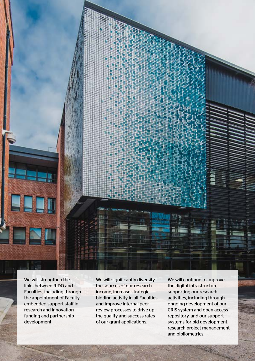

We will strengthen the links between RIDO and Faculties, including through the appointment of Facultyembedded support staff in research and innovation funding and partnership development.

We will significantly diversify the sources of our research income, increase strategic bidding activity in all Faculties, and improve internal peer review processes to drive up the quality and success rates of our grant applications.

We will continue to improve the digital infrastructure supporting our research activities, including through ongoing development of our CRIS system and open access repository, and our support systems for bid development, research project management and bibliometrics.

9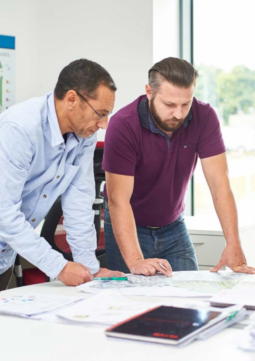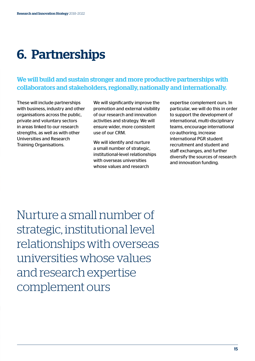# 6. Partnerships

We will build and sustain stronger and more productive partnerships with collaborators and stakeholders, regionally, nationally and internationally.

These will include partnerships with business, industry and other organisations across the public, private and voluntary sectors in areas linked to our research strengths, as well as with other Universities and Research Training Organisations.

We will significantly improve the promotion and external visibility of our research and innovation activities and strategy. We will ensure wider, more consistent use of our CRM.

We will identify and nurture a small number of strategic, institutional-level relationships with overseas universities whose values and research

expertise complement ours. In particular, we will do this in order to support the development of international, multi-disciplinary teams, encourage international co-authoring, increase international PGR student recruitment and student and staff exchanges, and further diversify the sources of research and innovation funding.

Nurture a small number of strategic, institutional level relationships with overseas universities whose values and research expertise complement ours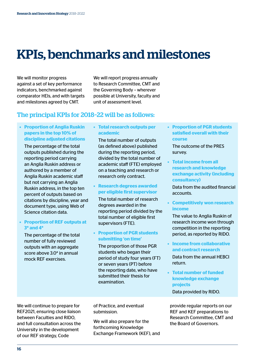### KPIs, benchmarks and milestones

We will monitor progress against a set of key performance indicators, benchmarked against comparator HEIs, and with targets and milestones agreed by CMT.

We will report progress annually to Research Committee, CMT and the Governing Body – wherever possible at University, faculty and unit of assessment level.

#### The principal KPIs for 2018–22 will be as follows:

#### **• Proportion of Anglia Ruskin papers in the top 10% of discipline adjusted citations**

The percentage of the total outputs published during the reporting period carrying an Anglia Ruskin address or authored by a member of Anglia Ruskin academic staff but not carrying an Anglia Ruskin address, in the top ten percent of outputs based on citations by discipline, year and document type, using Web of Science citation data.

#### **• Proportion of REF outputs at 3\* and 4\***

The percentage of the total number of fully reviewed outputs with an aggregate score above 3.0\* in annual mock REF exercises.

#### **• Total research outputs per academic**

The total number of outputs (as defined above) published during the reporting period, divided by the total number of academic staff (FTE) employed on a teaching and research or research only contract.

#### **• Research degrees awarded per eligible first supervisor**

The total number of research degrees awarded in the reporting period divided by the total number of eligible first supervisors (FTE).

#### **• Proportion of PGR students submitting 'on time'**

The proportion of those PGR students who began their period of study four years (FT) or seven years (PT) before the reporting date, who have submitted their thesis for examination.

We will continue to prepare for REF2021, ensuring close liaison between Faculties and RIDO, and full consultation across the University in the development of our REF strategy, Code

of Practice, and eventual submission.

We will also prepare for the forthcoming Knowledge Exchange Framework (KEF), and **• Proportion of PGR students satisfied overall with their course**

The outcome of the PRES survey.

**• Total income from all research and knowledge exchange activity (including consultancy)**

Data from the audited financial accounts.

#### **• Competitively won research income**

The value to Anglia Ruskin of research income won through competition in the reporting period, as reported by RIDO.

#### **• Income from collaborative and contract research**  Data from the annual HEBCI

return.

**• Total number of funded knowledge exchange projects**

Data provided by RIDO.

provide regular reports on our REF and KEF preparations to Research Committee, CMT and the Board of Governors.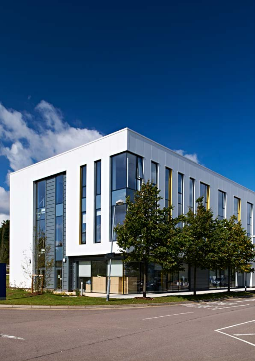